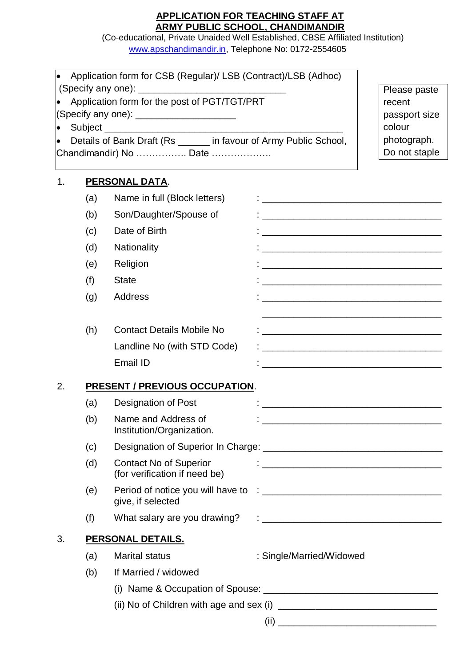# **APPLICATION FOR TEACHING STAFF AT ARMY PUBLIC SCHOOL, CHANDIMANDIR**

(Co-educational, Private Unaided Well Established, CBSE Affiliated Institution) [www.apschandimandir.in,](http://www.apschandimandir.in/) Telephone No: 0172-2554605

Application form for CSB (Regular)/ LSB (Contract)/LSB (Adhoc)

|           |     |                                                                                                                                                                                                                                                                               |                                                                                                                          | Please paste          |
|-----------|-----|-------------------------------------------------------------------------------------------------------------------------------------------------------------------------------------------------------------------------------------------------------------------------------|--------------------------------------------------------------------------------------------------------------------------|-----------------------|
|           |     | Application form for the post of PGT/TGT/PRT                                                                                                                                                                                                                                  |                                                                                                                          | recent                |
|           |     | (Specify any one): ________________________                                                                                                                                                                                                                                   |                                                                                                                          | passport size         |
| $\bullet$ |     | Details of Bank Draft (Rs _____ in favour of Army Public School,                                                                                                                                                                                                              |                                                                                                                          | colour<br>photograph. |
|           |     | Chandimandir) No  Date                                                                                                                                                                                                                                                        |                                                                                                                          | Do not staple         |
|           |     |                                                                                                                                                                                                                                                                               |                                                                                                                          |                       |
| 1.        |     | PERSONAL DATA.                                                                                                                                                                                                                                                                |                                                                                                                          |                       |
|           | (a) | Name in full (Block letters)                                                                                                                                                                                                                                                  |                                                                                                                          |                       |
|           | (b) | Son/Daughter/Spouse of                                                                                                                                                                                                                                                        |                                                                                                                          |                       |
|           | (c) | Date of Birth                                                                                                                                                                                                                                                                 | <u> 2000 - Jan Alexandro Alexandro Alexandro Alexandro Alexandro Alexandro Alexandro Alexandro Alexandro Alexandro A</u> |                       |
|           | (d) | Nationality                                                                                                                                                                                                                                                                   | <u> 1990 - Johann John Harry Harry Harry Harry Harry Harry Harry Harry Harry Harry Harry Harry Harry Harry Harry</u>     |                       |
|           | (e) | Religion                                                                                                                                                                                                                                                                      | <u> 1989 - Jan Barnett, fransk politiker (d. 1989)</u>                                                                   |                       |
|           | (f) | <b>State</b>                                                                                                                                                                                                                                                                  | <u> 1989 - Jan James James James James James James James James James James James James James James James James J</u>     |                       |
|           | (g) | <b>Address</b>                                                                                                                                                                                                                                                                |                                                                                                                          |                       |
|           |     |                                                                                                                                                                                                                                                                               |                                                                                                                          |                       |
|           | (h) | <b>Contact Details Mobile No</b>                                                                                                                                                                                                                                              |                                                                                                                          |                       |
|           |     | Landline No (with STD Code)                                                                                                                                                                                                                                                   | <u> 2000 - Jan Barnett, mars et al. 1980 - an de final de la propinsió de la propinsió de la propinsió de la pro</u>     |                       |
|           |     | Email ID                                                                                                                                                                                                                                                                      | <u> 1989 - Johann Barbara, margaret eta idazlearia (h. 1989).</u>                                                        |                       |
| 2.        |     | <b>PRESENT / PREVIOUS OCCUPATION.</b>                                                                                                                                                                                                                                         |                                                                                                                          |                       |
|           | (a) | <b>Designation of Post</b>                                                                                                                                                                                                                                                    |                                                                                                                          |                       |
|           | (b) | Name and Address of<br>Institution/Organization.                                                                                                                                                                                                                              |                                                                                                                          |                       |
|           | (c) |                                                                                                                                                                                                                                                                               |                                                                                                                          |                       |
|           | (d) | <b>Contact No of Superior</b>                                                                                                                                                                                                                                                 |                                                                                                                          |                       |
|           |     | (for verification if need be)                                                                                                                                                                                                                                                 |                                                                                                                          |                       |
|           | (e) | give, if selected                                                                                                                                                                                                                                                             |                                                                                                                          |                       |
|           | (f) |                                                                                                                                                                                                                                                                               |                                                                                                                          |                       |
| 3.        |     | <b>PERSONAL DETAILS.</b>                                                                                                                                                                                                                                                      |                                                                                                                          |                       |
|           | (a) | <b>Marital status</b>                                                                                                                                                                                                                                                         | : Single/Married/Widowed                                                                                                 |                       |
|           | (b) | If Married / widowed                                                                                                                                                                                                                                                          |                                                                                                                          |                       |
|           |     |                                                                                                                                                                                                                                                                               |                                                                                                                          |                       |
|           |     | (ii) No of Children with age and sex (i) $\frac{1}{2}$ [2010] $\frac{1}{2}$ [30] $\frac{1}{2}$ [30] $\frac{1}{2}$ [30] $\frac{1}{2}$ [30] $\frac{1}{2}$ [30] $\frac{1}{2}$ [30] $\frac{1}{2}$ [30] $\frac{1}{2}$ [30] $\frac{1}{2}$ [30] $\frac{1}{2}$ [30] $\frac{1}{2}$ [30 |                                                                                                                          |                       |
|           |     |                                                                                                                                                                                                                                                                               |                                                                                                                          |                       |

 $(iii)$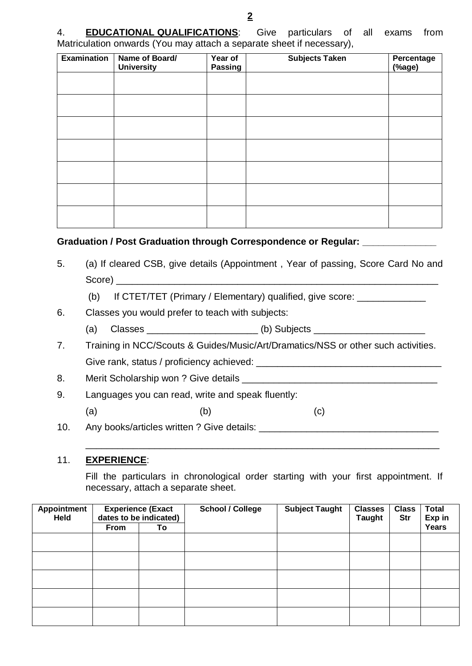4. **EDUCATIONAL QUALIFICATIONS**: Give particulars of all exams from Matriculation onwards (You may attach a separate sheet if necessary),

| <b>Examination</b> | Name of Board/<br><b>University</b> | Year of<br><b>Passing</b> | <b>Subjects Taken</b> | Percentage<br>(%age) |
|--------------------|-------------------------------------|---------------------------|-----------------------|----------------------|
|                    |                                     |                           |                       |                      |
|                    |                                     |                           |                       |                      |
|                    |                                     |                           |                       |                      |
|                    |                                     |                           |                       |                      |
|                    |                                     |                           |                       |                      |
|                    |                                     |                           |                       |                      |
|                    |                                     |                           |                       |                      |

#### **Graduation / Post Graduation through Correspondence or Regular: \_\_\_\_\_\_\_\_\_\_\_\_\_\_**

- 5. (a) If cleared CSB, give details (Appointment , Year of passing, Score Card No and Score) \_\_\_\_\_\_\_\_\_\_\_\_\_\_\_\_\_\_\_\_\_\_\_\_\_\_\_\_\_\_\_\_\_\_\_\_\_\_\_\_\_\_\_\_\_\_\_\_\_\_\_\_\_\_\_\_\_\_\_\_\_
	- (b) If CTET/TET (Primary / Elementary) qualified, give score:
- 6. Classes you would prefer to teach with subjects:
	- (a) Classes \_\_\_\_\_\_\_\_\_\_\_\_\_\_\_\_\_\_\_\_\_\_\_\_\_\_\_\_\_ (b) Subjects \_\_\_\_\_\_\_\_\_\_\_\_\_\_\_\_\_\_\_\_\_\_\_\_\_
- 7. Training in NCC/Scouts & Guides/Music/Art/Dramatics/NSS or other such activities. Give rank, status / proficiency achieved: \_\_\_\_\_\_\_\_\_\_\_\_\_\_\_\_\_\_\_\_\_\_\_\_\_\_\_\_\_\_\_\_\_\_\_
- 8. Merit Scholarship won ? Give details \_\_\_\_\_\_\_\_\_\_
- 9. Languages you can read, write and speak fluently:
	- (a)  $(b)$  (c)
- 10. Any books/articles written ? Give details: \_\_\_\_\_\_\_\_\_\_\_\_\_\_\_\_\_\_\_\_\_\_\_\_\_\_\_\_\_\_\_\_\_

#### 11. **EXPERIENCE**:

Fill the particulars in chronological order starting with your first appointment. If necessary, attach a separate sheet.

\_\_\_\_\_\_\_\_\_\_\_\_\_\_\_\_\_\_\_\_\_\_\_\_\_\_\_\_\_\_\_\_\_\_\_\_\_\_\_\_\_\_\_\_\_\_\_\_\_\_\_\_\_\_\_\_\_\_\_\_\_\_\_\_\_\_\_

| <b>Appointment</b><br>Held | <b>Experience (Exact</b><br>dates to be indicated) |    | <b>School / College</b> | <b>Subject Taught</b> | <b>Classes</b><br><b>Taught</b> | <b>Class</b><br><b>Str</b> | <b>Total</b><br>Exp in |
|----------------------------|----------------------------------------------------|----|-------------------------|-----------------------|---------------------------------|----------------------------|------------------------|
|                            | <b>From</b>                                        | To |                         |                       |                                 |                            | Years                  |
|                            |                                                    |    |                         |                       |                                 |                            |                        |
|                            |                                                    |    |                         |                       |                                 |                            |                        |
|                            |                                                    |    |                         |                       |                                 |                            |                        |
|                            |                                                    |    |                         |                       |                                 |                            |                        |
|                            |                                                    |    |                         |                       |                                 |                            |                        |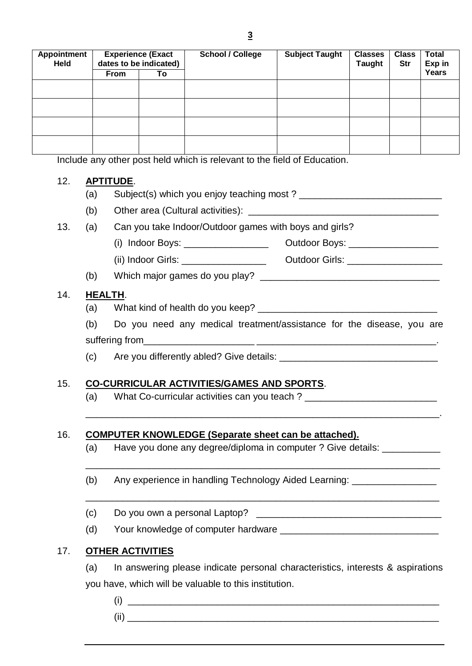| <b>Experience (Exact</b><br><b>Appointment</b><br>dates to be indicated) |     | <b>School / College</b> | <b>Subject Taught</b> | <b>Classes</b><br><b>Taught</b>           | <b>Class</b><br>Str                                                      | <b>Total</b><br>Exp in |
|--------------------------------------------------------------------------|-----|-------------------------|-----------------------|-------------------------------------------|--------------------------------------------------------------------------|------------------------|
| <b>From</b>                                                              | To  |                         |                       |                                           |                                                                          | Years                  |
|                                                                          |     |                         |                       |                                           |                                                                          |                        |
|                                                                          |     |                         |                       |                                           |                                                                          |                        |
|                                                                          |     |                         |                       |                                           |                                                                          |                        |
|                                                                          |     |                         |                       |                                           |                                                                          |                        |
|                                                                          |     |                         |                       |                                           |                                                                          |                        |
|                                                                          |     |                         |                       |                                           |                                                                          |                        |
|                                                                          |     |                         |                       |                                           |                                                                          |                        |
| <b>APTITUDE.</b>                                                         |     |                         |                       |                                           |                                                                          |                        |
|                                                                          | (a) |                         |                       | Subject(s) which you enjoy teaching most? | Include any other post held which is relevant to the field of Education. |                        |

(b) Other area (Cultural activities): \_\_\_\_\_\_\_\_\_\_

### 13. (a) Can you take Indoor/Outdoor games with boys and girls?

- (i) Indoor Boys: \_\_\_\_\_\_\_\_\_\_\_\_\_\_\_\_ Outdoor Boys: \_\_\_\_\_\_\_\_\_\_\_\_\_\_\_\_\_
- (ii) Indoor Girls: \_\_\_\_\_\_\_\_\_\_\_\_\_\_\_\_ Outdoor Girls: \_\_\_\_\_\_\_\_\_\_\_\_\_\_\_\_\_\_

# (b) Which major games do you play?  $\frac{1}{2}$  [100] Which major games do you play?

#### 14. **HEALTH**.

- (a) What kind of health do you keep?
- (b) Do you need any medical treatment/assistance for the disease, you are suffering from

\_\_\_\_\_\_\_\_\_\_\_\_\_\_\_\_\_\_\_\_\_\_\_\_\_\_\_\_\_\_\_\_\_\_\_\_\_\_\_\_\_\_\_\_\_\_\_\_\_\_\_\_\_\_\_\_\_\_\_\_\_\_\_\_\_\_\_.

\_\_\_\_\_\_\_\_\_\_\_\_\_\_\_\_\_\_\_\_\_\_\_\_\_\_\_\_\_\_\_\_\_\_\_\_\_\_\_\_\_\_\_\_\_\_\_\_\_\_\_\_\_\_\_\_\_\_\_\_\_\_\_\_\_\_\_

\_\_\_\_\_\_\_\_\_\_\_\_\_\_\_\_\_\_\_\_\_\_\_\_\_\_\_\_\_\_\_\_\_\_\_\_\_\_\_\_\_\_\_\_\_\_\_\_\_\_\_\_\_\_\_\_\_\_\_\_\_\_\_\_\_\_\_

(c) Are you differently abled? Give details: \_\_\_\_\_\_\_\_\_\_\_\_\_\_\_\_\_\_\_\_\_\_\_\_\_\_\_\_\_\_\_\_\_\_\_

# 15. **CO-CURRICULAR ACTIVITIES/GAMES AND SPORTS**.

(a) What Co-curricular activities can you teach ? \_\_\_\_\_\_\_\_\_\_\_\_\_\_\_\_\_\_\_\_\_\_\_\_\_\_\_\_\_\_

# 16. **COMPUTER KNOWLEDGE (Separate sheet can be attached).**

- (a) Have you done any degree/diploma in computer ? Give details: \_\_\_\_\_\_\_\_\_\_\_\_\_\_\_
- (b) Any experience in handling Technology Aided Learning:
- (c) Do you own a personal Laptop?  $\frac{1}{2}$  [200] Do you own a personal Laptop?  $\frac{1}{2}$  [200]  $\frac{1}{2}$  [200]  $\frac{1}{2}$  [200]  $\frac{1}{2}$  [200]  $\frac{1}{2}$  [200]  $\frac{1}{2}$  [200]  $\frac{1}{2}$  [200]  $\frac{1}{2}$  [200]  $\frac{1}{2}$  [20
- (d) Your knowledge of computer hardware \_\_\_\_\_\_\_\_\_\_\_\_\_\_\_\_\_\_\_\_\_\_\_\_\_\_\_\_\_\_

# 17. **OTHER ACTIVITIES**

- (a) In answering please indicate personal characteristics, interests & aspirations you have, which will be valuable to this institution.
	- $(i)$   $\qquad \qquad$ (ii) \_\_\_\_\_\_\_\_\_\_\_\_\_\_\_\_\_\_\_\_\_\_\_\_\_\_\_\_\_\_\_\_\_\_\_\_\_\_\_\_\_\_\_\_\_\_\_\_\_\_\_\_\_\_\_\_\_\_\_
		-